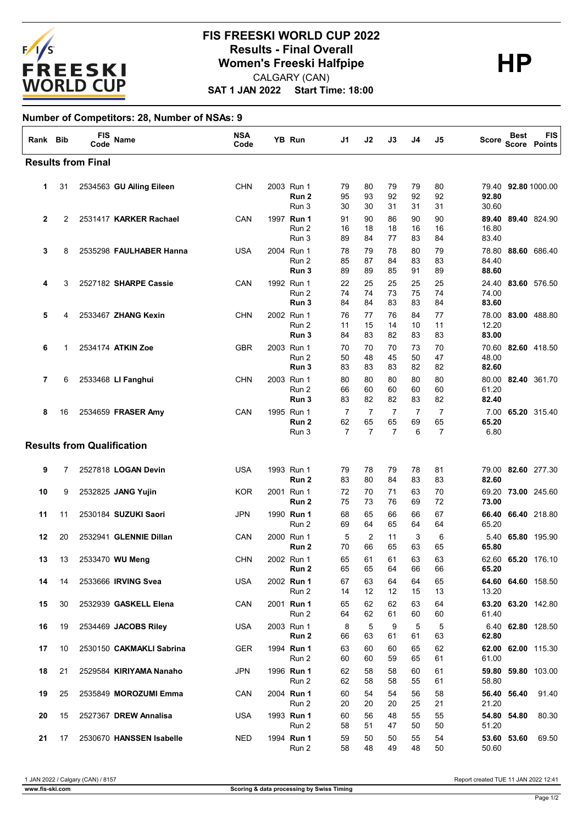

## **SAT 1 JAN 2022 Start Time: 18:00 FIS FREESKI WORLD CUP 2022 Results - Final Overall<br>
Women's Freeski Halfpipe<br>
CALGARY (CAN)** CALGARY (CAN)

## **Number of Competitors: 28, Number of NSAs: 9**

| Rank Bib     |    | FIS<br>Code                       | Name                     | <b>NSA</b><br>Code | YB Run                       | J1                        | J2                        | J3                        | J4             | J5                        | Score                   | Best        | <b>FIS</b><br><b>Score Points</b> |
|--------------|----|-----------------------------------|--------------------------|--------------------|------------------------------|---------------------------|---------------------------|---------------------------|----------------|---------------------------|-------------------------|-------------|-----------------------------------|
|              |    | <b>Results from Final</b>         |                          |                    |                              |                           |                           |                           |                |                           |                         |             |                                   |
| 1.           | 31 |                                   | 2534563 GU Ailing Eileen | <b>CHN</b>         | 2003 Run 1<br>Run 2<br>Run 3 | 79<br>95<br>30            | 80<br>93<br>30            | 79<br>92<br>31            | 79<br>92<br>31 | 80<br>92<br>31            | 92.80<br>30.60          |             | 79.40 92.80 1000.00               |
| $\mathbf{2}$ | 2  |                                   | 2531417 KARKER Rachael   | CAN                | 1997 Run 1<br>Run 2<br>Run 3 | 91<br>16<br>89            | 90<br>18<br>84            | 86<br>18<br>77            | 90<br>16<br>83 | 90<br>16<br>84            | 89.40<br>16.80<br>83.40 |             | 89.40 824.90                      |
| 3            | 8  |                                   | 2535298 FAULHABER Hanna  | USA                | 2004 Run 1<br>Run 2<br>Run 3 | 78<br>85<br>89            | 79<br>87<br>89            | 78<br>84<br>85            | 80<br>83<br>91 | 79<br>83<br>89            | 78.80<br>84.40<br>88.60 |             | 88.60 686.40                      |
| 4            | 3  |                                   | 2527182 SHARPE Cassie    | CAN                | 1992 Run 1<br>Run 2<br>Run 3 | 22<br>74<br>84            | 25<br>74<br>84            | 25<br>73<br>83            | 25<br>75<br>83 | 25<br>74<br>84            | 74.00<br>83.60          |             | 24.40 83.60 576.50                |
| 5            | 4  |                                   | 2533467 ZHANG Kexin      | <b>CHN</b>         | 2002 Run 1<br>Run 2<br>Run 3 | 76<br>11<br>84            | 77<br>15<br>83            | 76<br>14<br>82            | 84<br>10<br>83 | 77<br>11<br>83            | 78.00<br>12.20<br>83.00 |             | 83.00 488.80                      |
| 6            | 1  |                                   | 2534174 ATKIN Zoe        | <b>GBR</b>         | 2003 Run 1<br>Run 2<br>Run 3 | 70<br>50<br>83            | 70<br>48<br>83            | 70<br>45<br>83            | 73<br>50<br>82 | 70<br>47<br>82            | 70.60<br>48.00<br>82.60 |             | 82.60 418.50                      |
| 7            | 6  |                                   | 2533468 LI Fanghui       | <b>CHN</b>         | 2003 Run 1<br>Run 2<br>Run 3 | 80<br>66<br>83            | 80<br>60<br>82            | 80<br>60<br>82            | 80<br>60<br>83 | 80<br>60<br>82            | 61.20<br>82.40          |             | 80.00 82.40 361.70                |
| 8            | 16 |                                   | 2534659 FRASER Amy       | CAN                | 1995 Run 1<br>Run 2<br>Run 3 | 7<br>62<br>$\overline{7}$ | 7<br>65<br>$\overline{7}$ | 7<br>65<br>$\overline{7}$ | 7<br>69<br>6   | 7<br>65<br>$\overline{7}$ | 65.20<br>6.80           |             | 7.00 65.20 315.40                 |
|              |    | <b>Results from Qualification</b> |                          |                    |                              |                           |                           |                           |                |                           |                         |             |                                   |
| 9            | 7  |                                   | 2527818 LOGAN Devin      | <b>USA</b>         | 1993 Run 1<br>Run 2          | 79<br>83                  | 78<br>80                  | 79<br>84                  | 78<br>83       | 81<br>83                  | 79.00<br>82.60          |             | 82.60 277.30                      |
| 10           | 9  |                                   | 2532825 JANG Yujin       | KOR                | 2001 Run 1<br>Run 2          | 72<br>75                  | 70<br>73                  | 71<br>76                  | 63<br>69       | 70<br>72                  | 73.00                   |             | 69.20 73.00 245.60                |
| 11           | 11 |                                   | 2530184 SUZUKI Saori     | JPN                | 1990 Run 1<br>Run 2          | 68<br>69                  | 65<br>64                  | 66<br>65                  | 66<br>64       | 67<br>64                  | 66.40<br>65.20          |             | 66.40 218.80                      |
| 12           | 20 |                                   | 2532941 GLENNIE Dillan   | CAN                | 2000 Run 1<br>Run 2          | 5<br>70                   | 2<br>66                   | 11<br>65                  | 3<br>63        | 6<br>65                   | 5.40<br>65.80           |             | 65.80 195.90                      |
| 13           | 13 |                                   | 2533470 WU Meng          | <b>CHN</b>         | 2002 Run 1<br>Run 2          | 65<br>65                  | 61<br>65                  | 61<br>64                  | 63<br>66       | 63<br>66                  | 65.20                   |             | 62.60 65.20 176.10                |
| 14           | 14 |                                   | 2533666 IRVING Svea      | <b>USA</b>         | 2002 Run 1<br>Run 2          | 67<br>14                  | 63<br>12                  | 64<br>12                  | 64<br>15       | 65<br>13                  | 13.20                   |             | 64.60 64.60 158.50                |
| 15           | 30 |                                   | 2532939 GASKELL Elena    | CAN                | 2001 Run 1<br>Run 2          | 65<br>64                  | 62<br>62                  | 62<br>61                  | 63<br>60       | 64<br>60                  | 61.40                   |             | 63.20 63.20 142.80                |
| 16           | 19 |                                   | 2534469 JACOBS Riley     | USA                | 2003 Run 1<br>Run 2          | 8<br>66                   | 5<br>63                   | 9<br>61                   | 5<br>61        | 5<br>63                   | 62.80                   |             | 6.40 62.80 128.50                 |
| 17           | 10 |                                   | 2530150 CAKMAKLI Sabrina | <b>GER</b>         | 1994 Run 1<br>Run 2          | 63<br>60                  | 60<br>60                  | 60<br>59                  | 65<br>65       | 62<br>61                  | 61.00                   |             | 62.00 62.00 115.30                |
| 18           | 21 |                                   | 2529584 KIRIYAMA Nanaho  | JPN                | 1996 Run 1<br>Run 2          | 62<br>62                  | 58<br>58                  | 58<br>58                  | 60<br>55       | 61<br>61                  | 59.80<br>58.80          |             | 59.80 103.00                      |
| 19           | 25 |                                   | 2535849 MOROZUMI Emma    | CAN                | 2004 Run 1<br>Run 2          | 60<br>20                  | 54<br>20                  | 54<br>20                  | 56<br>25       | 58<br>21                  | 21.20                   | 56.40 56.40 | 91.40                             |
| 20           | 15 |                                   | 2527367 DREW Annalisa    | USA                | 1993 Run 1<br>Run 2          | 60<br>58                  | 56<br>51                  | 48<br>47                  | 55<br>50       | 55<br>50                  | 51.20                   | 54.80 54.80 | 80.30                             |
| 21           | 17 |                                   | 2530670 HANSSEN Isabelle | NED                | 1994 Run 1<br>Run 2          | 59<br>58                  | 50<br>48                  | 50<br>49                  | 55<br>48       | 54<br>50                  | 50.60                   | 53.60 53.60 | 69.50                             |

1 JAN 2022 / Calgary (CAN) / 8157 Report created TUE 11 JAN 2022 12:41